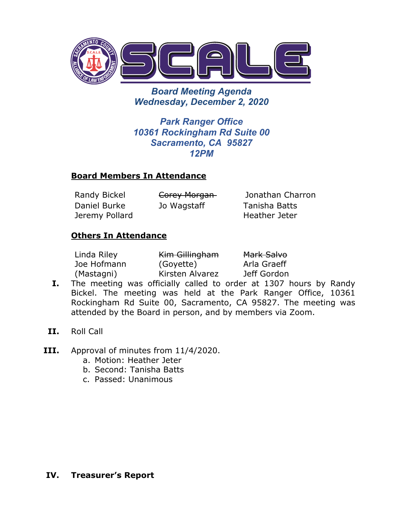

*Board Meeting Agenda Wednesday, December 2, 2020*

*Park Ranger Office 10361 Rockingham Rd Suite 00 Sacramento, CA 95827 12PM*

### **Board Members In Attendance**

Daniel Burke Jeremy Pollard

Randy Bickel **Corey Morgan** Jonathan Charron Jo Wagstaff Tanisha Batts Heather Jeter

### **Others In Attendance**

| Linda Riley | Kim Gillingham  | Mark Salvo  |
|-------------|-----------------|-------------|
| Joe Hofmann | (Goyette)       | Arla Graeff |
| (Mastagni)  | Kirsten Alvarez | Jeff Gordon |

- **I.** The meeting was officially called to order at 1307 hours by Randy Bickel. The meeting was held at the Park Ranger Office, 10361 Rockingham Rd Suite 00, Sacramento, CA 95827. The meeting was attended by the Board in person, and by members via Zoom.
- **II.** Roll Call
- **III.** Approval of minutes from 11/4/2020.
	- a. Motion: Heather Jeter
	- b. Second: Tanisha Batts
	- c. Passed: Unanimous

#### **IV. Treasurer's Report**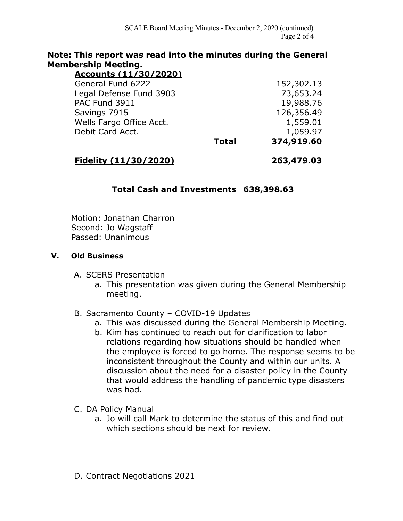### **Note: This report was read into the minutes during the General Membership Meeting.**

| Accounts (11/30/2020)    |              |            |
|--------------------------|--------------|------------|
| General Fund 6222        |              | 152,302.13 |
| Legal Defense Fund 3903  |              | 73,653.24  |
| PAC Fund 3911            |              | 19,988.76  |
| Savings 7915             |              | 126,356.49 |
| Wells Fargo Office Acct. |              | 1,559.01   |
| Debit Card Acct.         |              | 1,059.97   |
|                          | <b>Total</b> | 374,919.60 |

### **Fidelity (11/30/2020) 263,479.03**

## **Total Cash and Investments 638,398.63**

Motion: Jonathan Charron Second: Jo Wagstaff Passed: Unanimous

#### **V. Old Business**

- A. SCERS Presentation
	- a. This presentation was given during the General Membership meeting.
- B. Sacramento County COVID-19 Updates
	- a. This was discussed during the General Membership Meeting.
	- b. Kim has continued to reach out for clarification to labor relations regarding how situations should be handled when the employee is forced to go home. The response seems to be inconsistent throughout the County and within our units. A discussion about the need for a disaster policy in the County that would address the handling of pandemic type disasters was had.
- C. DA Policy Manual
	- a. Jo will call Mark to determine the status of this and find out which sections should be next for review.
- D. Contract Negotiations 2021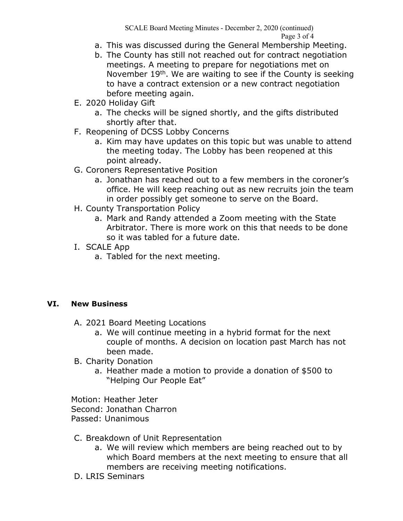SCALE Board Meeting Minutes - December 2, 2020 (continued) Page 3 of 4

- a. This was discussed during the General Membership Meeting.
- b. The County has still not reached out for contract negotiation meetings. A meeting to prepare for negotiations met on November 19<sup>th</sup>. We are waiting to see if the County is seeking to have a contract extension or a new contract negotiation before meeting again.
- E. 2020 Holiday Gift
	- a. The checks will be signed shortly, and the gifts distributed shortly after that.
- F. Reopening of DCSS Lobby Concerns
	- a. Kim may have updates on this topic but was unable to attend the meeting today. The Lobby has been reopened at this point already.
- G. Coroners Representative Position
	- a. Jonathan has reached out to a few members in the coroner's office. He will keep reaching out as new recruits join the team in order possibly get someone to serve on the Board.
- H. County Transportation Policy
	- a. Mark and Randy attended a Zoom meeting with the State Arbitrator. There is more work on this that needs to be done so it was tabled for a future date.
- I. SCALE App
	- a. Tabled for the next meeting.

### **VI. New Business**

- A. 2021 Board Meeting Locations
	- a. We will continue meeting in a hybrid format for the next couple of months. A decision on location past March has not been made.
- B. Charity Donation
	- a. Heather made a motion to provide a donation of \$500 to "Helping Our People Eat"

Motion: Heather Jeter Second: Jonathan Charron Passed: Unanimous

- C. Breakdown of Unit Representation
	- a. We will review which members are being reached out to by which Board members at the next meeting to ensure that all members are receiving meeting notifications.
- D. LRIS Seminars